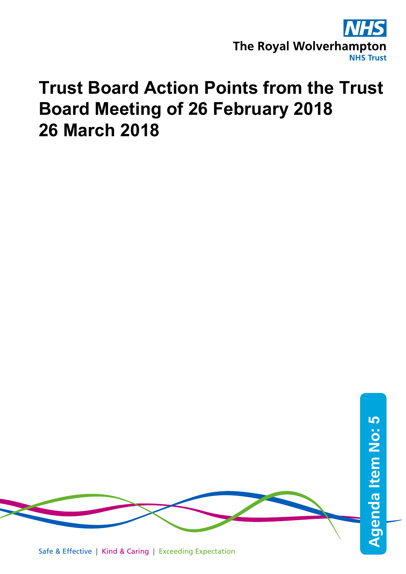

## **Trust Board Action Points from the Trust Board Meeting of 26 February 2018 26 March 2018**

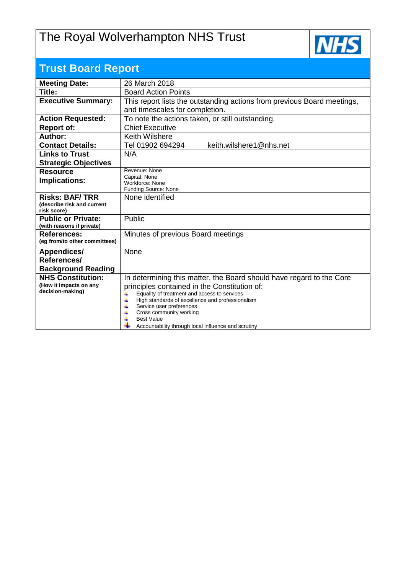## The Royal Wolverhampton NHS Trust



| <b>Trust Board Report</b>                  |                                                                                                            |  |  |  |  |  |
|--------------------------------------------|------------------------------------------------------------------------------------------------------------|--|--|--|--|--|
| <b>Meeting Date:</b>                       | 26 March 2018                                                                                              |  |  |  |  |  |
| Title:                                     | <b>Board Action Points</b>                                                                                 |  |  |  |  |  |
| <b>Executive Summary:</b>                  | This report lists the outstanding actions from previous Board meetings,                                    |  |  |  |  |  |
|                                            | and timescales for completion.                                                                             |  |  |  |  |  |
| <b>Action Requested:</b>                   | To note the actions taken, or still outstanding.                                                           |  |  |  |  |  |
| <b>Report of:</b>                          | <b>Chief Executive</b>                                                                                     |  |  |  |  |  |
| Author:                                    | <b>Keith Wilshere</b>                                                                                      |  |  |  |  |  |
| <b>Contact Details:</b>                    | Tel 01902 694294<br>keith.wilshere1@nhs.net                                                                |  |  |  |  |  |
| <b>Links to Trust</b>                      | N/A                                                                                                        |  |  |  |  |  |
| <b>Strategic Objectives</b>                |                                                                                                            |  |  |  |  |  |
| <b>Resource</b>                            | Revenue: None                                                                                              |  |  |  |  |  |
| <b>Implications:</b>                       | Capital: None<br>Workforce: None                                                                           |  |  |  |  |  |
|                                            | Funding Source: None                                                                                       |  |  |  |  |  |
| <b>Risks: BAF/TRR</b>                      | None identified                                                                                            |  |  |  |  |  |
| (describe risk and current<br>risk score)  |                                                                                                            |  |  |  |  |  |
| <b>Public or Private:</b>                  | Public                                                                                                     |  |  |  |  |  |
| (with reasons if private)                  |                                                                                                            |  |  |  |  |  |
| <b>References:</b>                         | Minutes of previous Board meetings                                                                         |  |  |  |  |  |
| (eg from/to other committees)              |                                                                                                            |  |  |  |  |  |
| Appendices/                                | None                                                                                                       |  |  |  |  |  |
| References/                                |                                                                                                            |  |  |  |  |  |
| <b>Background Reading</b>                  |                                                                                                            |  |  |  |  |  |
| <b>NHS Constitution:</b>                   | In determining this matter, the Board should have regard to the Core                                       |  |  |  |  |  |
| (How it impacts on any<br>decision-making) | principles contained in the Constitution of:                                                               |  |  |  |  |  |
|                                            | Equality of treatment and access to services<br>4<br>4<br>High standards of excellence and professionalism |  |  |  |  |  |
|                                            | 4<br>Service user preferences                                                                              |  |  |  |  |  |
|                                            | Cross community working<br>4<br><b>Best Value</b>                                                          |  |  |  |  |  |
|                                            | Accountability through local influence and scrutiny                                                        |  |  |  |  |  |